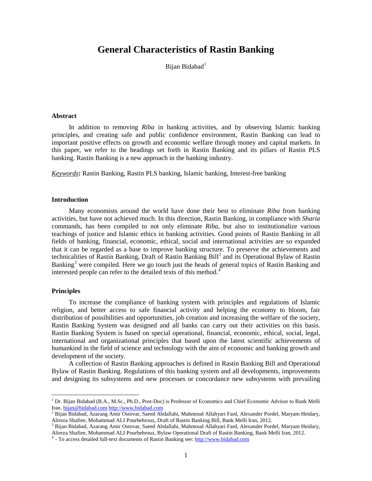# **General Characteristics of Rastin Banking**

Bijan Bidabad<sup>[1](#page-0-0)</sup>

#### **Abstract**

In addition to removing *Riba* in banking activities, and by observing Islamic banking principles, and creating safe and public confidence environment, Rastin Banking can lead to important positive effects on growth and economic welfare through money and capital markets. In this paper, we refer to the headings set forth in Rastin Banking and its pillars of Rastin PLS banking. Rastin Banking is a new approach in the banking industry.

*Keywords***:** Rastin Banking, Rastin PLS banking, Islamic banking, Interest-free banking

#### **Introduction**

Many economists around the world have done their best to eliminate *Riba* from banking activities, but have not achieved much. In this direction, Rastin Banking, in compliance with *Sharia* commands, has been compiled to not only eliminate *Riba*, but also to institutionalize various teachings of justice and Islamic ethics in banking activities. Good points of Rastin Banking in all fields of banking, financial, economic, ethical, social and international activities are so expanded that it can be regarded as a base to improve banking structure. To preserve the achievements and technicalities of Rastin Banking, Draft of Rastin Banking Bill<sup>[2](#page-0-1)</sup> and its Operational Bylaw of Rastin Banking<sup>[3](#page-0-2)</sup> were compiled. Here we go touch just the heads of general topics of Rastin Banking and interested people can refer to the detailed texts of this method.<sup>[4](#page-0-3)</sup>

## **Principles**

 $\overline{\phantom{a}}$ 

To increase the compliance of banking system with principles and regulations of Islamic religion, and better access to safe financial activity and helping the economy to bloom, fair distribution of possibilities and opportunities, job creation and increasing the welfare of the society, Rastin Banking System was designed and all banks can carry out their activities on this basis. Rastin Banking System is based on special operational, financial, economic, ethical, social, legal, international and organizational principles that based upon the latest scientific achievements of humankind in the field of science and technology with the aim of economic and banking growth and development of the society.

A collection of Rastin Banking approaches is defined in Rastin Banking Bill and Operational Bylaw of Rastin Banking. Regulations of this banking system and all developments, improvements and designing its subsystems and new processes or concordance new subsystems with prevailing

<span id="page-0-0"></span><sup>&</sup>lt;sup>1</sup> Dr. Bijan Bidabad (B.A., M.Sc., Ph.D., Post-Doc) is Professor of Economics and Chief Economic Advisor to Bank Melli Iran. bijan@bidabad.com http://www.bidabad.com

<span id="page-0-1"></span> $^2$  Bijan Bidabad, Azarang Amir Ostovar, Saeed Abdallahi, Mahmoud Allahyari Fard, Alexander Pordel, Maryam Heidary, Alireza Shafiee, Mohammad ALI Pourbehrouz, Draft of Rastin Banking Bill, Bank Melli Iran, 2012.<br><sup>3</sup> Bijan Bidabad, Azarang Amir Ostovar, Saeed Abdallahi, Mahmoud Allahyari Fard, Alexander Pordel, Maryam Heidary,

<span id="page-0-2"></span>Alireza Shafiee, Mohammad ALI Pourbehrouz, Bylaw Operational Draft of Rastin Banking, Bank Melli Iran, 2012*.* <sup>4</sup> - To access detailed full-text documents of Rastin Banking see[: http://www.bidabad.com](http://www.bidabad.com/) 

<span id="page-0-3"></span>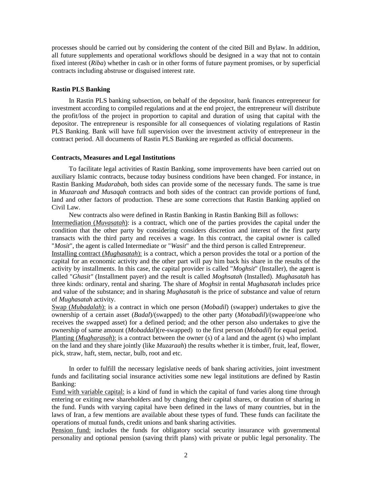processes should be carried out by considering the content of the cited Bill and Bylaw. In addition, all future supplements and operational workflows should be designed in a way that not to contain fixed interest (*Riba*) whether in cash or in other forms of future payment promises, or by superficial contracts including abstruse or disguised interest rate.

#### **Rastin PLS Banking**

In Rastin PLS banking subsection, on behalf of the depositor, bank finances entrepreneur for investment according to compiled regulations and at the end project, the entrepreneur will distribute the profit/loss of the project in proportion to capital and duration of using that capital with the depositor. The entrepreneur is responsible for all consequences of violating regulations of Rastin PLS Banking. Bank will have full supervision over the investment activity of entrepreneur in the contract period. All documents of Rastin PLS Banking are regarded as official documents.

## **Contracts, Measures and Legal Institutions**

To facilitate legal activities of Rastin Banking, some improvements have been carried out on auxiliary Islamic contracts, because today business conditions have been changed. For instance, in Rastin Banking *Mudarabah*, both sides can provide some of the necessary funds. The same is true in *Muzaraah and Musaqah* contracts and both sides of the contract can provide portions of fund, land and other factors of production. These are some corrections that Rastin Banking applied on Civil Law.

New contracts also were defined in Rastin Banking in Rastin Banking Bill as follows: Intermediation (*Muvasatah*): is a contract, which one of the parties provides the capital under the condition that the other party by considering considers discretion and interest of the first party transacts with the third party and receives a wage. In this contract, the capital owner is called "*Mosit*", the agent is called Intermediate or "*Wasit*" and the third person is called Entrepreneur.

Installing contract (*Mughasatah*): is a contract, which a person provides the total or a portion of the capital for an economic activity and the other part will pay him back his share in the results of the activity by installments. In this case, the capital provider is called "*Moghsit*" (Installer), the agent is called "*Ghasit"* (Installment payer) and the result is called *Moghsatah* (Installed). *Mughasatah* has three kinds: ordinary, rental and sharing. The share of *Moghsit* in rental *Mughasatah* includes price and value of the substance; and in sharing *Mughasatah* is the price of substance and value of return of *Mughasatah* activity.

Swap (*Mubadalah*): is a contract in which one person (*Mobadil*) (swapper) undertakes to give the ownership of a certain asset (*Badal*)/(swapped) to the other party (*Motabadil*)/(swappee/one who receives the swapped asset) for a defined period; and the other person also undertakes to give the ownership of same amount (*Mobaddal*)(re-swapped) to the first person (*Mobadil*) for equal period. Planting (*Mugharasah*): is a contract between the owner (s) of a land and the agent (s) who implant on the land and they share jointly (like *Muzaraah*) the results whether it is timber, fruit, leaf, flower, pick, straw, haft, stem, nectar, bulb, root and etc.

In order to fulfill the necessary legislative needs of bank sharing activities, joint investment funds and facilitating social insurance activities some new legal institutions are defined by Rastin Banking:

Fund with variable capital: is a kind of fund in which the capital of fund varies along time through entering or exiting new shareholders and by changing their capital shares, or duration of sharing in the fund. Funds with varying capital have been defined in the laws of many countries, but in the laws of Iran, a few mentions are available about these types of fund. These funds can facilitate the operations of mutual funds, credit unions and bank sharing activities.

Pension fund: includes the funds for obligatory social security insurance with governmental personality and optional pension (saving thrift plans) with private or public legal personality. The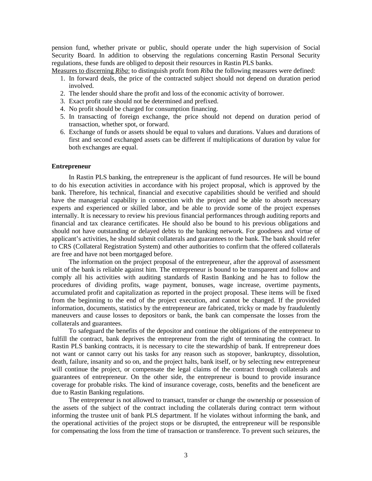pension fund, whether private or public, should operate under the high supervision of Social Security Board. In addition to observing the regulations concerning Rastin Personal Security regulations, these funds are obliged to deposit their resources in Rastin PLS banks.

Measures to discerning *Riba*: to distinguish profit from *Riba* the following measures were defined:

- 1. In forward deals, the price of the contracted subject should not depend on duration period involved.
- 2. The lender should share the profit and loss of the economic activity of borrower.
- 3. Exact profit rate should not be determined and prefixed.
- 4. No profit should be charged for consumption financing.
- 5. In transacting of foreign exchange, the price should not depend on duration period of transaction, whether spot, or forward.
- 6. Exchange of funds or assets should be equal to values and durations. Values and durations of first and second exchanged assets can be different if multiplications of duration by value for both exchanges are equal.

#### **Entrepreneur**

In Rastin PLS banking, the entrepreneur is the applicant of fund resources. He will be bound to do his execution activities in accordance with his project proposal, which is approved by the bank. Therefore, his technical, financial and executive capabilities should be verified and should have the managerial capability in connection with the project and be able to absorb necessary experts and experienced or skilled labor, and be able to provide some of the project expenses internally. It is necessary to review his previous financial performances through auditing reports and financial and tax clearance certificates. He should also be bound to his previous obligations and should not have outstanding or delayed debts to the banking network. For goodness and virtue of applicant's activities, he should submit collaterals and guarantees to the bank. The bank should refer to CRS (Collateral Registration System) and other authorities to confirm that the offered collaterals are free and have not been mortgaged before.

The information on the project proposal of the entrepreneur, after the approval of assessment unit of the bank is reliable against him. The entrepreneur is bound to be transparent and follow and comply all his activities with auditing standards of Rastin Banking and he has to follow the procedures of dividing profits, wage payment, bonuses, wage increase, overtime payments, accumulated profit and capitalization as reported in the project proposal. These items will be fixed from the beginning to the end of the project execution, and cannot be changed. If the provided information, documents, statistics by the entrepreneur are fabricated, tricky or made by fraudulently maneuvers and cause losses to depositors or bank, the bank can compensate the losses from the collaterals and guarantees.

To safeguard the benefits of the depositor and continue the obligations of the entrepreneur to fulfill the contract, bank deprives the entrepreneur from the right of terminating the contract. In Rastin PLS banking contracts, it is necessary to cite the stewardship of bank. If entrepreneur does not want or cannot carry out his tasks for any reason such as stopover, bankruptcy, dissolution, death, failure, insanity and so on, and the project halts, bank itself, or by selecting new entrepreneur will continue the project, or compensate the legal claims of the contract through collaterals and guarantees of entrepreneur. On the other side, the entrepreneur is bound to provide insurance coverage for probable risks. The kind of insurance coverage, costs, benefits and the beneficent are due to Rastin Banking regulations.

The entrepreneur is not allowed to transact, transfer or change the ownership or possession of the assets of the subject of the contract including the collaterals during contract term without informing the trustee unit of bank PLS department. If he violates without informing the bank, and the operational activities of the project stops or be disrupted, the entrepreneur will be responsible for compensating the loss from the time of transaction or transference. To prevent such seizures, the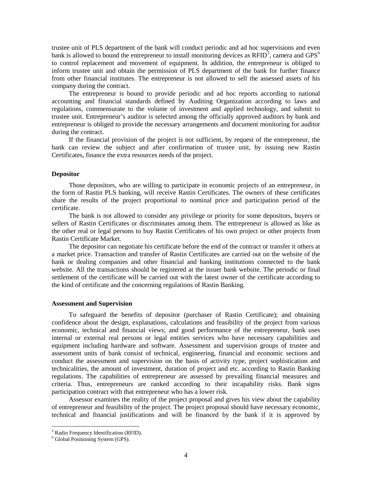trustee unit of PLS department of the bank will conduct periodic and ad hoc supervisions and even bank is allowed to bound the entrepreneur to install monitoring devices as  $RFID^5$  $RFID^5$ , camera and  $GPS^6$  $GPS^6$ to control replacement and movement of equipment. In addition, the entrepreneur is obliged to inform trustee unit and obtain the permission of PLS department of the bank for further finance from other financial institutes. The entrepreneur is not allowed to sell the assessed assets of his company during the contract.

The entrepreneur is bound to provide periodic and ad hoc reports according to national accounting and financial standards defined by Auditing Organization according to laws and regulations, commensurate to the volume of investment and applied technology, and submit to trustee unit. Entrepreneur's auditor is selected among the officially approved auditors by bank and entrepreneur is obliged to provide the necessary arrangements and document monitoring for auditor during the contract.

If the financial provision of the project is not sufficient, by request of the entrepreneur, the bank can review the subject and after confirmation of trustee unit, by issuing new Rastin Certificates, finance the extra resources needs of the project.

## **Depositor**

Those depositors, who are willing to participate in economic projects of an entrepreneur, in the form of Rastin PLS banking, will receive Rastin Certificates. The owners of these certificates share the results of the project proportional to nominal price and participation period of the certificate.

The bank is not allowed to consider any privilege or priority for some depositors, buyers or sellers of Rastin Certificates or discriminates among them. The entrepreneur is allowed as like as the other real or legal persons to buy Rastin Certificates of his own project or other projects from Rastin Certificate Market.

The depositor can negotiate his certificate before the end of the contract or transfer it others at a market price. Transaction and transfer of Rastin Certificates are carried out on the website of the bank or dealing companies and other financial and banking institutions connected to the bank website. All the transactions should be registered at the issuer bank website. The periodic or final settlement of the certificate will be carried out with the latest owner of the certificate according to the kind of certificate and the concerning regulations of Rastin Banking.

#### **Assessment and Supervision**

To safeguard the benefits of depositor (purchaser of Rastin Certificate); and obtaining confidence about the design, explanations, calculations and feasibility of the project from various economic, technical and financial views; and good performance of the entrepreneur, bank uses internal or external real persons or legal entities services who have necessary capabilities and equipment including hardware and software. Assessment and supervision groups of trustee and assessment units of bank consist of technical, engineering, financial and economic sections and conduct the assessment and supervision on the basis of activity type, project sophistication and technicalities, the amount of investment, duration of project and etc. according to Rastin Banking regulations. The capabilities of entrepreneur are assessed by prevailing financial measures and criteria. Thus, entrepreneurs are ranked according to their incapability risks. Bank signs participation contract with that entrepreneur who has a lower risk.

Assessor examines the reality of the project proposal and gives his view about the capability of entrepreneur and feasibility of the project. The project proposal should have necessary economic, technical and financial justifications and will be financed by the bank if it is approved by

 $\overline{\phantom{a}}$ 

<span id="page-3-0"></span><sup>5</sup> Radio Frequency Identification (RFID).

<span id="page-3-1"></span><sup>6</sup> Global Positioning System (GPS).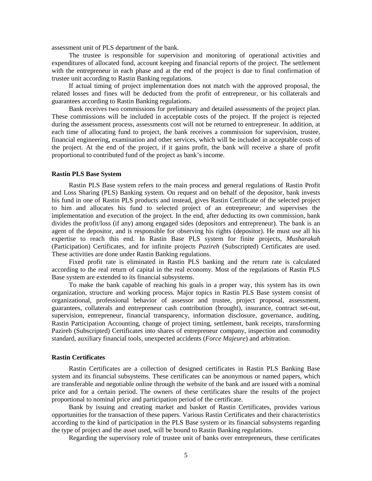assessment unit of PLS department of the bank.

The trustee is responsible for supervision and monitoring of operational activities and expenditures of allocated fund, account keeping and financial reports of the project. The settlement with the entrepreneur in each phase and at the end of the project is due to final confirmation of trustee unit according to Rastin Banking regulations.

If actual timing of project implementation does not match with the approved proposal, the related losses and fines will be deducted from the profit of entrepreneur, or his collaterals and guarantees according to Rastin Banking regulations.

Bank receives two commissions for preliminary and detailed assessments of the project plan. These commissions will be included in acceptable costs of the project. If the project is rejected during the assessment process, assessments cost will not be returned to entrepreneur. In addition, at each time of allocating fund to project, the bank receives a commission for supervision, trustee, financial engineering, examination and other services, which will be included in acceptable costs of the project. At the end of the project, if it gains profit, the bank will receive a share of profit proportional to contributed fund of the project as bank's income.

#### **Rastin PLS Base System**

Rastin PLS Base system refers to the main process and general regulations of Rastin Profit and Loss Sharing (PLS) Banking system. On request and on behalf of the depositor, bank invests his fund in one of Rastin PLS products and instead, gives Rastin Certificate of the selected project to him and allocates his fund to selected project of an entrepreneur; and supervises the implementation and execution of the project. In the end, after deducting its own commission, bank divides the profit/loss (if any) among engaged sides (depositors and entrepreneur). The bank is an agent of the depositor, and is responsible for observing his rights (depositor). He must use all his expertise to reach this end. In Rastin Base PLS system for finite projects, *Musharakah* (Participation) Certificates, and for infinite projects *Pazireh* (Subscripted) Certificates are used. These activities are done under Rastin Banking regulations.

Fixed profit rate is eliminated in Rastin PLS banking and the return rate is calculated according to the real return of capital in the real economy. Most of the regulations of Rastin PLS Base system are extended to its financial subsystems.

To make the bank capable of reaching his goals in a proper way, this system has its own organization, structure and working process. Major topics in Rastin PLS Base system consist of organizational, professional behavior of assessor and trustee, project proposal, assessment, guarantees, collaterals and entrepreneur cash contribution (brought), insurance, contract set-out, supervision, entrepreneur, financial transparency, information disclosure, governance, auditing, Rastin Participation Accounting, change of project timing, settlement, bank receipts, transforming Pazireh (Subscripted) Certificates into shares of entrepreneur company, inspection and commodity standard, auxiliary financial tools, unexpected accidents (*Force Majeure*) and arbitration.

## **Rastin Certificates**

Rastin Certificates are a collection of designed certificates in Rastin PLS Banking Base system and its financial subsystems. These certificates can be anonymous or named papers, which are transferable and negotiable online through the website of the bank and are issued with a nominal price and for a certain period. The owners of these certificates share the results of the project proportional to nominal price and participation period of the certificate.

Bank by issuing and creating market and basket of Rastin Certificates, provides various opportunities for the transaction of these papers. Various Rastin Certificates and their characteristics according to the kind of participation in the PLS Base system or its financial subsystems regarding the type of project and the asset used, will be bound to Rastin Banking regulations.

Regarding the supervisory role of trustee unit of banks over entrepreneurs, these certificates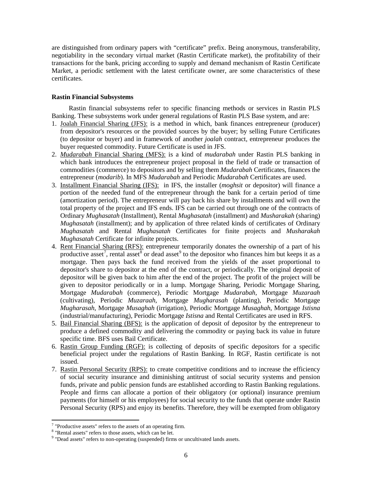are distinguished from ordinary papers with "certificate" prefix. Being anonymous, transferability, negotiability in the secondary virtual market (Rastin Certificate market), the profitability of their transactions for the bank, pricing according to supply and demand mechanism of Rastin Certificate Market, a periodic settlement with the latest certificate owner, are some characteristics of these certificates.

# **Rastin Financial Subsystems**

Rastin financial subsystems refer to specific financing methods or services in Rastin PLS Banking. These subsystems work under general regulations of Rastin PLS Base system, and are:

- 1. Joalah Financial Sharing (JFS): is a method in which, bank finances entrepreneur (producer) from depositor's resources or the provided sources by the buyer; by selling Future Certificates (to depositor or buyer) and in framework of another *joalah* contract, entrepreneur produces the buyer requested commodity. Future Certificate is used in JFS.
- 2. *Mudarabah* Financial Sharing (MFS): is a kind of *mudarabah* under Rastin PLS banking in which bank introduces the entrepreneur project proposal in the field of trade or transaction of commodities (commerce) to depositors and by selling them *Mudarabah* Certificates, finances the entrepreneur (*modarib*). In MFS *Mudarabah* and Periodic *Mudarabah* Certificates are used.
- 3. Installment Financial Sharing (IFS): in IFS, the installer (*moghsit* or depositor) will finance a portion of the needed fund of the entrepreneur through the bank for a certain period of time (amortization period). The entrepreneur will pay back his share by installments and will own the total property of the project and IFS ends. IFS can be carried out through one of the contracts of Ordinary *Mughasatah* (Installment), Rental *Mughasatah* (installment) and *Musharakah* (sharing) *Mughasatah* (installment); and by application of three related kinds of certificates of Ordinary *Mughasatah* and Rental *Mughasatah* Certificates for finite projects and *Musharakah Mughasatah* Certificate for infinite projects.
- 4. Rent Financial Sharing (RFS): entrepreneur temporarily donates the ownership of a part of his productive asset<sup>[7](#page-5-0)</sup>, rental asset<sup>[8](#page-5-1)</sup> or dead asset<sup>[9](#page-5-2)</sup> to the depositor who finances him but keeps it as a mortgage. Then pays back the fund received from the yields of the asset proportional to depositor's share to depositor at the end of the contract, or periodically. The original deposit of depositor will be given back to him after the end of the project. The profit of the project will be given to depositor periodically or in a lump. Mortgage Sharing, Periodic Mortgage Sharing, Mortgage *Mudarabah* (commerce), Periodic Mortgage *Mudarabah*, Mortgage *Muzaraah* (cultivating), Periodic *Muzaraah*, Mortgage *Mugharasah* (planting), Periodic Mortgage *Mugharasah*, Mortgage *Musaghah* (irrigation), Periodic Mortgage *Musaghah*, Mortgage *Istisna*  (industrial/manufacturing), Periodic Mortgage *Istisna* and Rental Certificates are used in RFS.
- 5. Bail Financial Sharing (BFS): is the application of deposit of depositor by the entrepreneur to produce a defined commodity and delivering the commodity or paying back its value in future specific time. BFS uses Bail Certificate.
- 6. Rastin Group Funding (RGF): is collecting of deposits of specific depositors for a specific beneficial project under the regulations of Rastin Banking. In RGF, Rastin certificate is not issued.
- 7. Rastin Personal Security (RPS): to create competitive conditions and to increase the efficiency of social security insurance and diminishing antitrust of social security systems and pension funds, private and public pension funds are established according to Rastin Banking regulations. People and firms can allocate a portion of their obligatory (or optional) insurance premium payments (for himself or his employees) for social security to the funds that operate under Rastin Personal Security (RPS) and enjoy its benefits. Therefore, they will be exempted from obligatory

**.** 

<span id="page-5-0"></span> $7$  "Productive assets" refers to the assets of an operating firm.  $8$  "Rental assets" refers to those assets, which can be let.

<span id="page-5-1"></span>

<span id="page-5-2"></span><sup>&</sup>lt;sup>9</sup> "Dead assets" refers to non-operating (suspended) firms or uncultivated lands assets.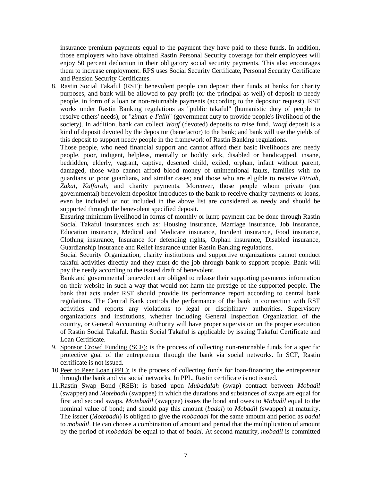insurance premium payments equal to the payment they have paid to these funds. In addition, those employers who have obtained Rastin Personal Security coverage for their employees will enjoy 50 percent deduction in their obligatory social security payments. This also encourages them to increase employment. RPS uses Social Security Certificate, Personal Security Certificate and Pension Security Certificates.

8. Rastin Social Takaful (RST): benevolent people can deposit their funds at banks for charity purposes, and bank will be allowed to pay profit (or the principal as well) of deposit to needy people, in form of a loan or non-returnable payments (according to the depositor request). RST works under Rastin Banking regulations as "public takaful" (humanistic duty of people to resolve others' needs), or "*ziman-e-I'alih*" (government duty to provide people's livelihood of the society). In addition, bank can collect *Waqf* (devoted) deposits to raise fund. *Waqf* deposit is a kind of deposit devoted by the depositor (benefactor) to the bank; and bank will use the yields of this deposit to support needy people in the framework of Rastin Banking regulations.

Those people, who need financial support and cannot afford their basic livelihoods are: needy people, poor, indigent, helpless, mentally or bodily sick, disabled or handicapped, insane, bedridden, elderly, vagrant, captive, deserted child, exiled, orphan, infant without parent, damaged, those who cannot afford blood money of unintentional faults, families with no guardians or poor guardians, and similar cases; and those who are eligible to receive *Fitriah*, *Zakat*, *Kaffarah*, and charity payments. Moreover, those people whom private (not governmental) benevolent depositor introduces to the bank to receive charity payments or loans, even be included or not included in the above list are considered as needy and should be supported through the benevolent specified deposit.

Ensuring minimum livelihood in forms of monthly or lump payment can be done through Rastin Social Takaful insurances such as: Housing insurance, Marriage insurance, Job insurance, Education insurance, Medical and Medicare insurance, Incident insurance, Food insurance, Clothing insurance, Insurance for defending rights, Orphan insurance, Disabled insurance, Guardianship insurance and Relief insurance under Rastin Banking regulations.

Social Security Organization, charity institutions and supportive organizations cannot conduct takaful activities directly and they must do the job through bank to support people. Bank will pay the needy according to the issued draft of benevolent.

Bank and governmental benevolent are obliged to release their supporting payments information on their website in such a way that would not harm the prestige of the supported people. The bank that acts under RST should provide its performance report according to central bank regulations. The Central Bank controls the performance of the bank in connection with RST activities and reports any violations to legal or disciplinary authorities. Supervisory organizations and institutions, whether including General Inspection Organization of the country, or General Accounting Authority will have proper supervision on the proper execution of Rastin Social Takaful. Rastin Social Takaful is applicable by issuing Takaful Certificate and Loan Certificate.

- 9. Sponsor Crowd Funding (SCF): is the process of collecting non-returnable funds for a specific protective goal of the entrepreneur through the bank via social networks. In SCF, Rastin certificate is not issued.
- 10.Peer to Peer Loan (PPL): is the process of collecting funds for loan-financing the entrepreneur through the bank and via social networks. In PPL, Rastin certificate is not issued.
- 11.Rastin Swap Bond (RSB): is based upon *Mubadalah* (swap) contract between *Mobadil* (swapper) and *Motebadil* (swappee) in which the durations and substances of swaps are equal for first and second swaps. *Motebadil* (swappee) issues the bond and owes to *Mobadil* equal to the nominal value of bond; and should pay this amount (*badal*) to *Mobadil* (swapper) at maturity. The issuer (*Motebadil*) is obliged to give the *mobaadal* for the same amount and period as *badal*  to *mobadil*. He can choose a combination of amount and period that the multiplication of amount by the period of *mobaddal* be equal to that of *badal*. At second maturity, *mobadil* is committed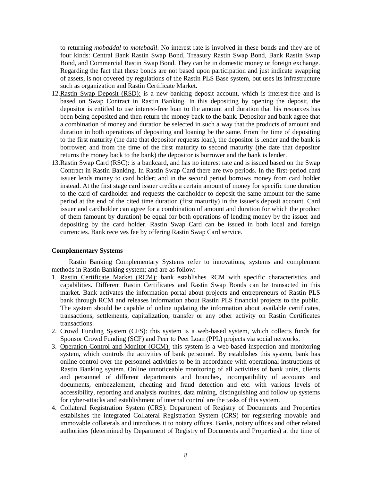to returning *mobaddal* to *motebadil*. No interest rate is involved in these bonds and they are of four kinds: Central Bank Rastin Swap Bond, Treasury Rastin Swap Bond, Bank Rastin Swap Bond, and Commercial Rastin Swap Bond. They can be in domestic money or foreign exchange. Regarding the fact that these bonds are not based upon participation and just indicate swapping of assets, is not covered by regulations of the Rastin PLS Base system, but uses its infrastructure such as organization and Rastin Certificate Market.

- 12.Rastin Swap Deposit (RSD): is a new banking deposit account, which is interest-free and is based on Swap Contract in Rastin Banking. In this depositing by opening the deposit, the depositor is entitled to use interest-free loan to the amount and duration that his resources has been being deposited and then return the money back to the bank. Depositor and bank agree that a combination of money and duration be selected in such a way that the products of amount and duration in both operations of depositing and loaning be the same. From the time of depositing to the first maturity (the date that depositor requests loan), the depositor is lender and the bank is borrower; and from the time of the first maturity to second maturity (the date that depositor returns the money back to the bank) the depositor is borrower and the bank is lender.
- 13.Rastin Swap Card (RSC): is a bankcard, and has no interest rate and is issued based on the Swap Contract in Rastin Banking. In Rastin Swap Card there are two periods. In the first-period card issuer lends money to card holder; and in the second period borrows money from card holder instead. At the first stage card issuer credits a certain amount of money for specific time duration to the card of cardholder and requests the cardholder to deposit the same amount for the same period at the end of the cited time duration (first maturity) in the issuer's deposit account. Card issuer and cardholder can agree for a combination of amount and duration for which the product of them (amount by duration) be equal for both operations of lending money by the issuer and depositing by the card holder. Rastin Swap Card can be issued in both local and foreign currencies. Bank receives fee by offering Rastin Swap Card service.

# **Complementary Systems**

Rastin Banking Complementary Systems refer to innovations, systems and complement methods in Rastin Banking system; and are as follow:

- 1. Rastin Certificate Market (RCM): bank establishes RCM with specific characteristics and capabilities. Different Rastin Certificates and Rastin Swap Bonds can be transacted in this market. Bank activates the information portal about projects and entrepreneurs of Rastin PLS bank through RCM and releases information about Rastin PLS financial projects to the public. The system should be capable of online updating the information about available certificates, transactions, settlements, capitalization, transfer or any other activity on Rastin Certificates transactions.
- 2. Crowd Funding System (CFS): this system is a web-based system, which collects funds for Sponsor Crowd Funding (SCF) and Peer to Peer Loan (PPL) projects via social networks.
- 3. Operation Control and Monitor (OCM): this system is a web-based inspection and monitoring system, which controls the activities of bank personnel. By establishes this system, bank has online control over the personnel activities to be in accordance with operational instructions of Rastin Banking system. Online unnoticeable monitoring of all activities of bank units, clients and personnel of different departments and branches, incompatibility of accounts and documents, embezzlement, cheating and fraud detection and etc. with various levels of accessibility, reporting and analysis routines, data mining, distinguishing and follow up systems for cyber-attacks and establishment of internal control are the tasks of this system.
- 4. Collateral Registration System (CRS): Department of Registry of Documents and Properties establishes the integrated Collateral Registration System (CRS) for registering movable and immovable collaterals and introduces it to notary offices. Banks, notary offices and other related authorities (determined by Department of Registry of Documents and Properties) at the time of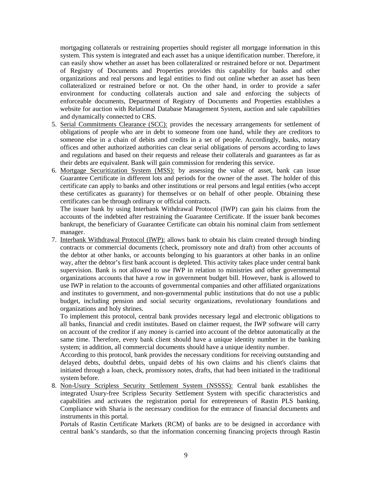mortgaging collaterals or restraining properties should register all mortgage information in this system. This system is integrated and each asset has a unique identification number. Therefore, it can easily show whether an asset has been collateralized or restrained before or not. Department of Registry of Documents and Properties provides this capability for banks and other organizations and real persons and legal entities to find out online whether an asset has been collateralized or restrained before or not. On the other hand, in order to provide a safer environment for conducting collaterals auction and sale and enforcing the subjects of enforceable documents, Department of Registry of Documents and Properties establishes a website for auction with Relational Database Management System, auction and sale capabilities and dynamically connected to CRS.

- 5. Serial Commitments Clearance (SCC): provides the necessary arrangements for settlement of obligations of people who are in debt to someone from one hand, while they are creditors to someone else in a chain of debits and credits in a set of people. Accordingly, banks, notary offices and other authorized authorities can clear serial obligations of persons according to laws and regulations and based on their requests and release their collaterals and guarantees as far as their debts are equivalent. Bank will gain commission for rendering this service.
- 6. Mortgage Securitization System (MSS): by assessing the value of asset, bank can issue Guarantee Certificate in different lots and periods for the owner of the asset. The holder of this certificate can apply to banks and other institutions or real persons and legal entities (who accept these certificates as guaranty) for themselves or on behalf of other people. Obtaining these certificates can be through ordinary or official contracts.

The issuer bank by using Interbank Withdrawal Protocol (IWP) can gain his claims from the accounts of the indebted after restraining the Guarantee Certificate. If the issuer bank becomes bankrupt, the beneficiary of Guarantee Certificate can obtain his nominal claim from settlement manager.

7. Interbank Withdrawal Protocol (IWP): allows bank to obtain his claim created through binding contracts or commercial documents (check, promissory note and draft) from other accounts of the debtor at other banks, or accounts belonging to his guarantors at other banks in an online way, after the debtor's first bank account is depleted. This activity takes place under central bank supervision. Bank is not allowed to use IWP in relation to ministries and other governmental organizations accounts that have a row in government budget bill. However, bank is allowed to use IWP in relation to the accounts of governmental companies and other affiliated organizations and institutes to government, and non-governmental public institutions that do not use a public budget, including pension and social security organizations, revolutionary foundations and organizations and holy shrines.

To implement this protocol, central bank provides necessary legal and electronic obligations to all banks, financial and credit institutes. Based on claimer request, the IWP software will carry on account of the creditor if any money is carried into account of the debtor automatically at the same time. Therefore, every bank client should have a unique identity number in the banking system; in addition, all commercial documents should have a unique identity number.

According to this protocol, bank provides the necessary conditions for receiving outstanding and delayed debts, doubtful debts, unpaid debts of his own claims and his client's claims that initiated through a loan, check, promissory notes, drafts, that had been initiated in the traditional system before.

8. Non-Usury Scripless Security Settlement System (NSSSS): Central bank establishes the integrated Usury-free Scripless Security Settlement System with specific characteristics and capabilities and activates the registration portal for entrepreneurs of Rastin PLS banking. Compliance with Sharia is the necessary condition for the entrance of financial documents and instruments in this portal.

Portals of Rastin Certificate Markets (RCM) of banks are to be designed in accordance with central bank's standards, so that the information concerning financing projects through Rastin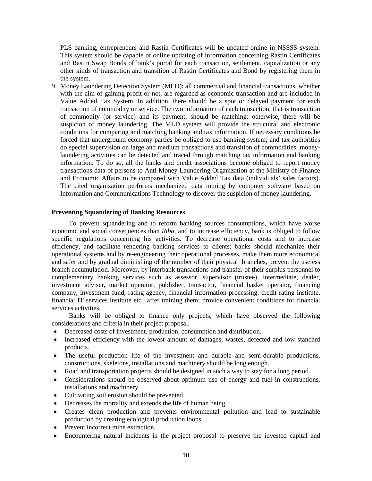PLS banking, entrepreneurs and Rastin Certificates will be updated online in NSSSS system. This system should be capable of online updating of information concerning Rastin Certificates and Rastin Swap Bonds of bank's portal for each transaction, settlement, capitalization or any other kinds of transaction and transition of Rastin Certificates and Bond by registering them in the system.

9. Money Laundering Detection System (MLD): all commercial and financial transactions, whether with the aim of gaining profit or not, are regarded as economic transaction and are included in Value Added Tax System. In addition, there should be a spot or delayed payment for each transaction of commodity or service. The two information of each transaction, that is transaction of commodity (or service) and its payment, should be matching; otherwise, there will be suspicion of money laundering. The MLD system will provide the structural and electronic conditions for comparing and matching banking and tax information. If necessary conditions be forced that underground economy parties be obliged to use banking system; and tax authorities do special supervision on large and medium transactions and transition of commodities, moneylaundering activities can be detected and traced through matching tax information and banking information. To do so, all the banks and credit associations become obliged to report money transactions data of persons to Anti Money Laundering Organization at the Ministry of Finance and Economic Affairs to be compared with Value Added Tax data (individuals' sales factors). The cited organization performs mechanized data mining by computer software based on Information and Communications Technology to discover the suspicion of money laundering.

#### **Preventing Squandering of Banking Resources**

To prevent squandering and to reform banking sources consumptions, which have worse economic and social consequences than *Riba*, and to increase efficiency, bank is obliged to follow specific regulations concerning his activities. To decrease operational costs and to increase efficiency, and facilitate rendering banking services to clients; banks should mechanize their operational systems and by re-engineering their operational processes, make them more economical and safer and by gradual diminishing of the number of their physical branches, prevent the useless branch accumulation. Moreover, by interbank transactions and transfer of their surplus personnel to complementary banking services such as assessor, supervisor (trustee), intermediate, dealer, investment adviser, market operator, publisher, transactor, financial basket operator, financing company, investment fund, rating agency, financial information processing, credit rating institute, financial IT services institute etc., after training them; provide convenient conditions for financial services activities.

Banks will be obliged to finance only projects, which have observed the following considerations and criteria in their project proposal.

- Decreased costs of investment, production, consumption and distribution.
- Increased efficiency with the lowest amount of damages, wastes, defected and low standard products.
- The useful production life of the investment and durable and semi-durable productions, constructions, skeletons, installations and machinery should be long enough.
- Road and transportation projects should be designed in such a way to stay for a long period.
- Considerations should be observed about optimum use of energy and fuel in constructions, installations and machinery.
- Cultivating soil erosion should be prevented.
- Decreases the mortality and extends the life of human being.
- Creates clean production and prevents environmental pollution and lead to sustainable production by creating ecological production loops.
- Prevent incorrect mine extraction.
- Encountering natural incidents in the project proposal to preserve the invested capital and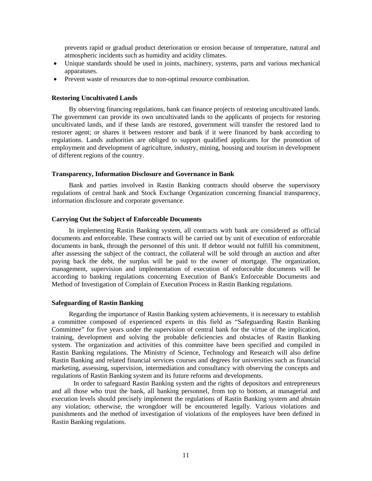prevents rapid or gradual product deterioration or erosion because of temperature, natural and atmospheric incidents such as humidity and acidity climates.

- Unique standards should be used in joints, machinery, systems, parts and various mechanical apparatuses.
- Prevent waste of resources due to non-optimal resource combination.

#### **Restoring Uncultivated Lands**

By observing financing regulations, bank can finance projects of restoring uncultivated lands. The government can provide its own uncultivated lands to the applicants of projects for restoring uncultivated lands, and if these lands are restored, government will transfer the restored land to restorer agent; or shares it between restorer and bank if it were financed by bank according to regulations. Lands authorities are obliged to support qualified applicants for the promotion of employment and development of agriculture, industry, mining, housing and tourism in development of different regions of the country.

## **Transparency, Information Disclosure and Governance in Bank**

Bank and parties involved in Rastin Banking contracts should observe the supervisory regulations of central bank and Stock Exchange Organization concerning financial transparency, information disclosure and corporate governance.

#### **Carrying Out the Subject of Enforceable Documents**

In implementing Rastin Banking system, all contracts with bank are considered as official documents and enforceable. These contracts will be carried out by unit of execution of enforceable documents in bank, through the personnel of this unit. If debtor would not fulfill his commitment, after assessing the subject of the contract, the collateral will be sold through an auction and after paying back the debt, the surplus will be paid to the owner of mortgage. The organization, management, supervision and implementation of execution of enforceable documents will be according to banking regulations concerning Execution of Bank's Enforceable Documents and Method of Investigation of Complain of Execution Process in Rastin Banking regulations.

#### **Safeguarding of Rastin Banking**

Regarding the importance of Rastin Banking system achievements, it is necessary to establish a committee composed of experienced experts in this field as "Safeguarding Rastin Banking Committee" for five years under the supervision of central bank for the virtue of the implication, training, development and solving the probable deficiencies and obstacles of Rastin Banking system. The organization and activities of this committee have been specified and compiled in Rastin Banking regulations. The Ministry of Science, Technology and Research will also define Rastin Banking and related financial services courses and degrees for universities such as financial marketing, assessing, supervision, intermediation and consultancy with observing the concepts and regulations of Rastin Banking system and its future reforms and developments.

In order to safeguard Rastin Banking system and the rights of depositors and entrepreneurs and all those who trust the bank, all banking personnel, from top to bottom, at managerial and execution levels should precisely implement the regulations of Rastin Banking system and abstain any violation; otherwise, the wrongdoer will be encountered legally. Various violations and punishments and the method of investigation of violations of the employees have been defined in Rastin Banking regulations.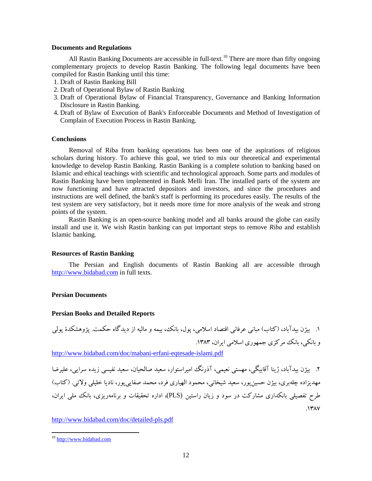#### **Documents and Regulations**

All Rastin Banking Documents are accessible in full-text.<sup>[10](#page-11-0)</sup> There are more than fifty ongoing complementary projects to develop Rastin Banking. The following legal documents have been compiled for Rastin Banking until this time:

- 1. Draft of Rastin Banking Bill
- 2. Draft of Operational Bylaw of Rastin Banking
- 3. Draft of Operational Bylaw of Financial Transparency, Governance and Banking Information Disclosure in Rastin Banking.
- 4. Draft of Bylaw of Execution of Bank's Enforceable Documents and Method of Investigation of Complain of Execution Process in Rastin Banking.

## **Conclusions**

Removal of Riba from banking operations has been one of the aspirations of religious scholars during history. To achieve this goal, we tried to mix our theoretical and experimental knowledge to develop Rastin Banking. Rastin Banking is a complete solution to banking based on Islamic and ethical teachings with scientific and technological approach. Some parts and modules of Rastin Banking have been implemented in Bank Melli Iran. The installed parts of the system are now functioning and have attracted depositors and investors, and since the procedures and instructions are well defined, the bank's staff is performing its procedures easily. The results of the test system are very satisfactory, but it needs more time for more analysis of the weak and strong points of the system.

Rastin Banking is an open-source banking model and all banks around the globe can easily install and use it. We wish Rastin banking can put important steps to remove *Riba* and establish Islamic banking.

#### **Resources of Rastin Banking**

The Persian and English documents of Rastin Banking all are accessible through [http://www.bidabad.com](http://www.bidabad.com/) in full texts.

#### **Persian Documents**

#### **Persian Books and Detailed Reports**

.1 بیژن بیدآباد، (کتاب) مبانی عرفانی اقتصاد اسلامی، پول، بانک، بیمه و مالیه از دیدگاه حکمت. پژوهشکدة پولی و بانکی، بانک مرکزي جمهوري اسلامی ایران، .1383

<http://www.bidabad.com/doc/mabani-erfani-eqtesade-islami.pdf>

.2 بیژن بیدآباد، ژینا آقابیگی، مهستی نعیمی، آذرنگ امیراستوار، سعید صالحیان، سعید نفیسی زیده سرایی، علیرضا مهدیزاده چلهبري، بیژن حسینپور، سعید شیخانی، محمود الهیاري فرد، محمد صفاییپور، نادیا خلیلی ولائی. (کتاب) طرح تفصیلی بانکداري مشارکت در سود و زیان راستین (PLS(، اداره تحقیقات و برنامهریزي، بانک ملی ایران،  $.1477$ 

<http://www.bidabad.com/doc/detailed-pls.pdf>

<u>.</u>

<span id="page-11-0"></span><sup>&</sup>lt;sup>10</sup> [http://www.bidabad.com](http://www.bidabad.com/)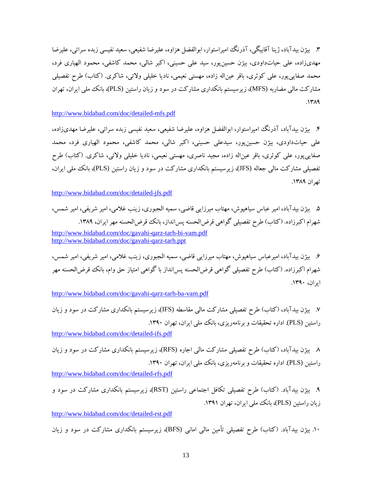.3 بیژن بیدآباد، ژینا آقابیگی، آذرنگ امیراستوار، ابوالفضل هزاوه، علیرضا شفیعی، سعید نفیسی زبده سرائی، علیرضا مهديزاده، علی حیاتداودي، بیژن حسینپور، سید علی حسینی، اکبر شالی، محمد کاشفی، محمود الهیاري فرد، محمد صفاییپور، علی کوثري، باقر عیناله زاده، مهستی نعیمی، نادیا خلیلی ولائی، شاکري. (کتاب) طرح تفصیلی مشارکت مالی مضاربه (MFS)، زیرسیستم بانکداری مشارکت در سود و زیان راستین (PLS)، بانک ملی ایران، تهران  $.1419$ 

<http://www.bidabad.com/doc/detailed-mfs.pdf>

.4 بیژن بیدآباد، آذرنگ امیراستوار، ابوالفضل هزاوه، علیرضا شفیعی، سعید نفیسی زبده سرائی، علیرضا مهديزاده، علی حیاتداودي، بیژن حسینپور، سیدعلی حسینی، اکبر شالی، محمد کاشفی، محمود الهیاري فرد، محمد صفاییپور، علی کوثري، باقر عیناله زاده، مجید ناصري، مهستی نعیمی، نادیا خلیلی ولائی، شاکري. (کتاب) طرح تفصیلی مشارکت مالی جعاله (JFS(، زیرسیستم بانکداري مشارکت در سود و زیان راستین (PLS(، بانک ملی ایران، تهران .1389

<http://www.bidabad.com/doc/detailed-jfs.pdf>

.5 بیژن بیدآباد، امیر عباس سیاهپوش، مهتاب میرزایی قاضی، سمیه الجبوري، زینب غلامی، امیر شریفی، امیر شمس، شهرام اکبرزاده. (کتاب) طرح تفصیلی گواهی قرض الحسنه پس انداز، بانک قرض الحسنه مهر ایران، ۱۳۸۹. <http://www.bidabad.com/doc/gavahi-qarz-tarh-bi-vam.pdf> <http://www.bidabad.com/doc/gavahi-qarz-tarh.ppt>

.6 بیژن بیدآباد، امیرعباس سیاهپوش، مهتاب میرزایی قاضی، سمیه الجبوري، زینب غلامی، امیر شریفی، امیر شمس، شهرام اکبرزاده. (کتاب) طرح تفصیلی گواهی قرضالحسنه پسانداز با گواهی امتیاز حق وام، بانک قرضالحسنه مهر ایران، .1390

<http://www.bidabad.com/doc/gavahi-qarz-tarh-ba-vam.pdf>

.7 بیژن بیدآباد، (کتاب) طرح تفصیلی مشارکت مالی مقاسطه (IFS(، زیرسیستم بانکداري مشارکت در سود و زیان راستین (PLS). اداره تحقیقات و برنامهریزی، بانک ملی ایران، تهران ١٣٩٠.

<http://www.bidabad.com/doc/detailed-ifs.pdf>

.8 بیژن بیدآباد، (کتاب) طرح تفصیلی مشارکت مالی اجاره (RFS(، زیرسیستم بانکداري مشارکت در سود و زیان راستین (PLS(. اداره تحقیقات و برنامهریزي، بانک ملی ایران، تهران .1390

<http://www.bidabad.com/doc/detailed-rfs.pdf>

.9 بیژن بیدآباد. (کتاب) طرح تفصیلی تکافل اجتماعی راستین (RST(، زیرسیستم بانکداري مشارکت در سود و زیان راستین (PLS(، بانک ملی ایران، تهران .1391

<http://www.bidabad.com/doc/detailed-rst.pdf>

.10 بیژن بیدآباد. (کتاب) طرح تفصیلی تأمین مالی امانی (BFS(، زیرسیستم بانکداري مشارکت در سود و زیان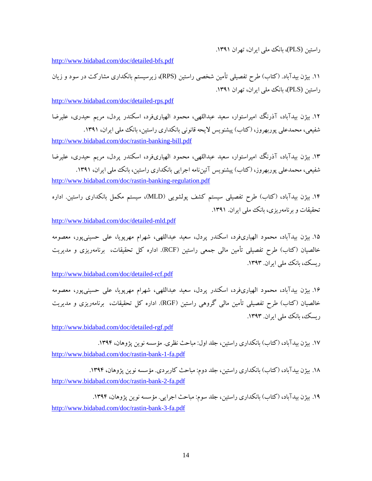راستین (PLS(، بانک ملی ایران، تهران .1391

<http://www.bidabad.com/doc/detailed-bfs.pdf>

.11 بیژن بیدآباد. (کتاب) طرح تفصیلی تأمین شخصی راستین (RPS(، زیرسیستم بانکداري مشارکت در سود و زیان راستین (PLS)، بانک ملی ایران، تهران ۱۳۹۱.

<http://www.bidabad.com/doc/detailed-rps.pdf>

.12 بیژن بیدآباد، آذرنگ امیراستوار، سعید عبداللهی، محمود الهیاريفرد، اسکندر پردل، مریم حیدري، علیرضا شفیعی، محمدعلی پوربهروز، (کتاب) پیشنویس لایحه قانونی بانکداری راستین، بانک ملی ایران، ۱۳۹۱. <http://www.bidabad.com/doc/rastin-banking-bill.pdf>

.13 بیژن بیدآباد، آذرنگ امیراستوار، سعید عبداللهی، محمود الهیاريفرد، اسکندر پردل، مریم حیدري، علیرضا شفیعی، محمدعلی پوربهروز، (کتاب) پیشنویس آئینiامه اجرایی بانکداری راستین، بانک ملی ایران، ۱۳۹۱. <http://www.bidabad.com/doc/rastin-banking-regulation.pdf>

.14 بیژن بیدآباد، (کتاب) طرح تفصیلی سیستم کشف پولشویی (MLD(، سیستم مکمل بانکداري راستین. اداره تحقیقات و برنامهریزي، بانک ملی ایران. .1391

<http://www.bidabad.com/doc/detailed-mld.pdf>

.15 بیژن بیدآباد، محمود الهیاريفرد، اسکندر پردل، سعید عبداللهی، شهرام مهرپویا، علی حسینیپور، معصومه خالصیان (کتاب) طرح تفصیلی تأمین مالی جمعی راستین (RCF(. اداره کل تحقیقات، برنامهریزي و مدیریت ریسک، بانک ملی ایران. ۱۳۹۳.

<http://www.bidabad.com/doc/detailed-rcf.pdf>

.16 بیژن بیدآباد، محمود الهیاريفرد، اسکندر پردل، سعید عبداللهی، شهرام مهرپویا، علی حسینیپور، معصومه خالصیان (کتاب) طرح تفصیلی تأمین مالی گروهی راستین (RGF(. اداره کل تحقیقات، برنامهریزي و مدیریت ریسک، بانک ملی ایران. ۱۳۹۳.

<http://www.bidabad.com/doc/detailed-rgf.pdf>

۱۷. بیژن بیدآباد، (کتاب) بانکداري راستین، جلد اول: مباحث نظري. مؤسسه نوین پژوهان، ۱۳۹۴. <http://www.bidabad.com/doc/rastin-bank-1-fa.pdf>

۱۸. بیژن بیدآباد، (کتاب) بانکداری راستین، جلد دوم: مباحث کاربردی. مؤسسه نوین پژوهان، ۱۳۹۴. <http://www.bidabad.com/doc/rastin-bank-2-fa.pdf>

۱۹. بیژن بیدآباد، (کتاب) بانکداری راستین، جلد سوم: مباحث اجرایی. مؤسسه نوین پژوهان، ۱۳۹۴. <http://www.bidabad.com/doc/rastin-bank-3-fa.pdf>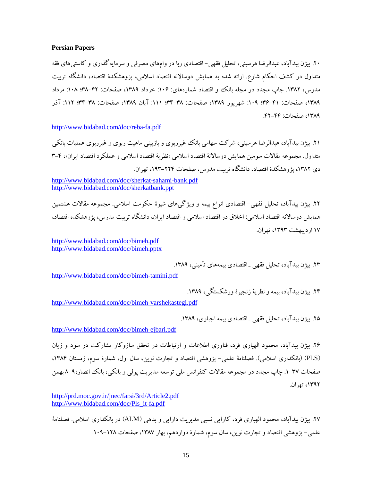#### **Persian Papers**

.20 بیژن بیدآباد، عبدالرضا هرسینی، تحلیل فقهی- اقتصادي ربا در وامهاي مصرفی و سرمایهگذاري و کاستیهاي فقه متداول در کشف احکام شارع. ارائه شده به همایش دوسالانه اقتصاد اسلامی، پژوهشکدة اقتصاد، دانشگاه تربیت مدرس، ١٣٨٢. چاپ مجدد در مجله بانک و اقتصاد شمارههاي: ١٠۶: خرداد ١٣٨٩، صفحات: ۴۲–٣٨؛ ١٠٨: مرداد ،1389 صفحات: 36-41؛ :109 شهریور ،1389 صفحات: 34-38؛ :111 آبان ،1389 صفحات: 34-38؛ :112 آذر ،1389 صفحات: .42-44

<http://www.bidabad.com/doc/reba-fa.pdf>

.21 بیژن بیدآباد، عبدالرضا هرسینی، شرکت سهامی بانک غیرربوي و بازبینی ماهیت ربوي و غیرربوي عملیات بانکی متداول. مجموعه مقالات سومین همایش دوسالانۀ اقتصاد اسلامی «نظریۀ اقتصاد اسلامی و عملکرد اقتصاد ایران»، 3-4 دي ۱۳۸۲، پژوهشکدهٔ اقتصاد، دانشگاه تربیت مدرس، صفحات ۲۲۴–۱۹۳، تهران.

.22 بیژن بیدآباد، تحلیل فقهی- اقتصادي انواع بیمه و ویژگیهاي شیوة حکومت اسلامی. مجموعه مقالات هشتمین همایش دوسالانه اقتصاد اسلامی: اخلاق در اقتصاد اسلامی و اقتصاد ایران، دانشگاه تربیت مدرس، پژوهشکده اقتصاد، 17 اردیبهشت ،1393 تهران.

<http://www.bidabad.com/doc/bimeh.pdf> <http://www.bidabad.com/doc/bimeh.pptx>

.23 بیژن بیدآباد، تحلیل فقهی ـ اقتصادي بیمههاي تأمینی، .1389

<http://www.bidabad.com/doc/bimeh-tamini.pdf>

.24 بیژن بیدآباد، بیمه و نظریۀ زنجیرة ورشکستگی، .1389

<http://www.bidabad.com/doc/bimeh-varshekastegi.pdf>

۲۵. بیژن بیدآباد، تحلیل فقهی ـ اقتصادی بیمه اجباری، ۱۳۸۹.

<http://www.bidabad.com/doc/bimeh-ejbari.pdf>

.26 بیژن بیدآباد، محمود الهیاري فرد، فناوري اطلاعات و ارتباطات در تحقق سازوکار مشارکت در سود و زیان (PLS) (بانکداري اسلامی). فصلنامۀ علمی- پژوهشی اقتصاد و تجارت نوین، سال اول، شمارة سوم، زمستان ،1384 صفحات .1-37 چاپ مجدد در مجموعه مقالات کنفرانس ملی توسعه مدیریت پولی و بانکی، بانک انصار8-9، بهمن ،1392 تهران.

<http://prd.moc.gov.ir/jnec/farsi/3rd/Article2.pdf> [http://www.bidabad.com/doc/Pls\\_it-fa.pdf](http://www.bidabad.com/doc/Pls_it-fa.pdf) 

.27 بیژن بیدآباد، محمود الهیاري فرد، کارایی نسبی مدیریت دارایی و بدهی (ALM (در بانکداري اسلامی. فصلنامۀ علمی- پژوهشی اقتصاد و تجارت نوین، سال سوم، شمارهٔ دوازدهم، بهار ۱۳۸۷، صفحات ۱۲۸–۱۰۹.

<http://www.bidabad.com/doc/sherkat-sahami-bank.pdf> <http://www.bidabad.com/doc/sherkatbank.ppt>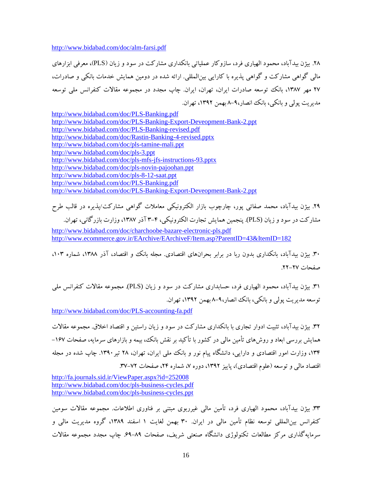<http://www.bidabad.com/doc/alm-farsi.pdf>

.28 بیژن بیدآباد، محمود الهیاري فرد، سازوکار عملیاتی بانکداري مشارکت در سود و زیان (PLS(، معرفی ابزارهاي مالی گواهی مشارکت و گواهی پذیره با کارایی بینالمللی. ارائه شده در دومین همایش خدمات بانکی و صادرات، ۲۷ مهر ۱۳۸۷، بانک توسعه صادرات ایران، تهران، ایران. چاپ مجدد در مجموعه مقالات کنفرانس ملی توسعه مدیریت پولی و بانکی، بانک انصار8-9، بهمن ،1392 تهران.

<http://www.bidabad.com/doc/PLS-Banking.pdf> <http://www.bidabad.com/doc/PLS-Banking-Export-Deveopment-Bank-2.ppt> <http://www.bidabad.com/doc/PLS-Banking-revised.pdf> <http://www.bidabad.com/doc/Rastin-Banking-4-revised.pptx> <http://www.bidabad.com/doc/pls-tamine-mali.ppt> <http://www.bidabad.com/doc/pls-3.ppt> <http://www.bidabad.com/doc/pls-mfs-jfs-instructions-93.pptx> <http://www.bidabad.com/doc/pls-novin-pajoohan.ppt> <http://www.bidabad.com/doc/pls-8-12-saat.ppt> <http://www.bidabad.com/doc/PLS-Banking.pdf> <http://www.bidabad.com/doc/PLS-Banking-Export-Deveopment-Bank-2.ppt>

.29 بیژن بیدآباد، محمد صفائی پور، چارچوب بازار الکترونیکی معاملات گواهی مشارکت/پذیره در قالب طرح مشارکت در سود و زیان (PLS(. پنجمین همایش تجارت الکترونیکی، 3-4 آذر ،1387 وزارت بازرگانی، تهران. <http://www.bidabad.com/doc/charchoobe-bazare-electronic-pls.pdf> <http://www.ecommerce.gov.ir/EArchive/EArchiveF/Item.asp?ParentID=43&ItemID=182>

.30 بیژن بیدآباد، بانکداري بدون ربا در برابر بحرانهاي اقتصادي. مجله بانک و اقتصاد، آذر ،1388 شماره ،103 صفحات .22-27

.31 بیژن بیدآباد، محمود الهیاري فرد، حسابداري مشارکت در سود و زیان (PLS(. مجموعه مقالات کنفرانس ملی توسعه مدیریت پولی و بانکی، بانک انصار8-9، بهمن ،1392 تهران.

<http://www.bidabad.com/doc/PLS-accounting-fa.pdf>

.32 بیژن بیدآباد، تثبیت ادوار تجاري با بانکداري مشارکت در سود و زیان راستین و اقتصاد اخلاق. مجموعه مقالات همایش بررسی ابعاد و روشهاي تأمین مالی در کشور با تأکید بر نقش بانک، بیمه و بازارهاي سرمایه، صفحات -167 ،134 وزارت امور اقتصادي و دارایی، دانشگاه پیام نور و بانک ملی ایران، تهران، 28 تیر.1390 چاپ شده در مجله اقتصاد مالی و توسعه (علوم اقتصادی)، پاییز ۱۳۹۲، دوره ۷، شماره ۲۴، صفحات ۷۲–۳۷.

<http://fa.journals.sid.ir/ViewPaper.aspx?id=252008> <http://www.bidabad.com/doc/pls-business-cycles.pdf> <http://www.bidabad.com/doc/pls-business-cycles.ppt>

.33 بیژن بیدآباد، محمود الهیاري فرد، تأمین مالی غیرربوي مبتنی بر فناوري اطلاعات. مجموعه مقالات سومین کنفرانس بینالمللی توسعه نظام تأمین مالی در ایران. 30 بهمن لغایت 1 اسفند ،1389 گروه مدیریت مالی و سرمایهگذاري مرکز مطالعات تکنولوژي دانشگاه صنعتی شریف، صفحات .69-89 چاپ مجدد مجموعه مقالات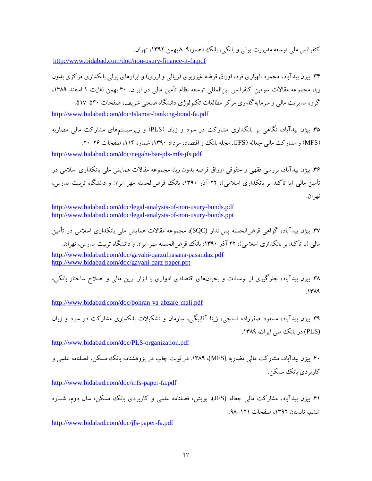کنفرانس ملی توسعه مدیریت پولی و بانکی، بانک انصار8-9، بهمن ،1392 تهران.

<http://www.bidabad.com/doc/non-usury-finance-it-fa.pdf>

.34 بیژن بیدآباد، محمود الهیاري فرد، اوراق قرضه غیرربوي (ریالی و ارزي) و ابزارهاي پولی بانکداري مرکزي بدون ربا، مجموعه مقالات سومین کنفرانس بین المللی توسعه نظام تأمین مالی در ایران. ۳۰ بهمن لغایت ۱ اسفند ۱۳۸۹، گروه مدیریت مالی و سرمایهگذاري مرکز مطالعات تکنولوژي دانشگاه صنعتی شریف، صفحات .517-540 <http://www.bidabad.com/doc/Islamic-banking-bond-fa.pdf>

.35 بیژن بیدآباد، نگاهی بر بانکداري مشارکت در سود و زیان (PLS (و زیرسیستمهاي مشارکت مالی مضاربه (MFS) و مشارکت مالی جعاله (JFS). مجله بانک و اقتصاد، مرداد ۱۳۹۰، شماره ۱۱۴، صفحات ۲۶-۲۰. <http://www.bidabad.com/doc/negahi-bar-pls-mfs-jfs.pdf>

.36 بیژن بیدآباد، بررسی فقهی و حقوقی اوراق قرضه بدون ربا، مجموعه مقالات همایش ملی بانکداري اسلامی در تأمین مالی (با تأکید بر بانکداري اسلامی)، 22 آذر ،1390 بانک قرضالحسنه مهر ایران و دانشگاه تربیت مدرس، تهران.

<http://www.bidabad.com/doc/legal-analysis-of-non-usury-bonds.pdf> <http://www.bidabad.com/doc/legal-analysis-of-non-usury-bonds.ppt>

.37 بیژن بیدآباد، گواهی قرضالحسنه پسانداز (SQC(، مجموعه مقالات همایش ملی بانکداري اسلامی در تأمین مالی (با تأکید بر بانکداري اسلامی)، 22 آذر ،1390 بانک قرضالحسنه مهر ایران و دانشگاه تربیت مدرس، تهران. <http://www.bidabad.com/doc/gavahi-qarzulhasana-pasandaz.pdf> <http://www.bidabad.com/doc/gavahi-qarz-paper.ppt>

.38 بیژن بیدآباد، جلوگیري از نوسانات و بحرانهاي اقتصادي ادواري با ابزار نوین مالی و اصلاح ساختار بانکی،  $.1419$ 

<http://www.bidabad.com/doc/bohran-va-abzare-mali.pdf>

.39 بیژن بیدآباد، مسعود صفرزاده نساجی، ژینا آقابیگی، سازمان و تشکیلات بانکداري مشارکت در سود و زیان (PLS) در بانک ملی ایران، ۱۳۸۹.

<http://www.bidabad.com/doc/PLS-organization.pdf>

.40 بیژن بیدآباد، مشارکت مالی مضاربه (MFS(، .1389 در نوبت چاپ در پژوهشنامه بانک مسکن، فصلنامه علمی و کاربر دي بانک مسکن.

<http://www.bidabad.com/doc/mfs-paper-fa.pdf>

.41 بیژن بیدآباد، مشارکت مالی جعاله (JFS(، پویش، فصلنامه علمی و کاربردي بانک مسکن، سال دوم، شماره ششم، تابستان ،1392 صفحات .98-121

<http://www.bidabad.com/doc/jfs-paper-fa.pdf>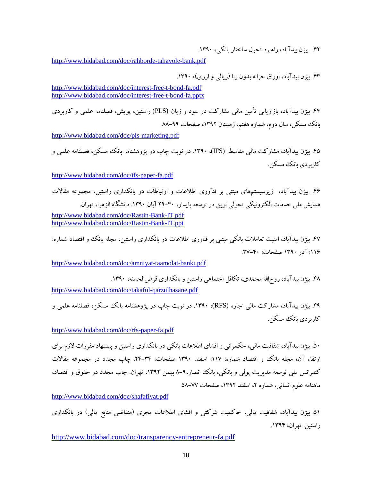.42 بیژن بیدآباد، راهبرد تحول ساختار بانکی، .1390

<http://www.bidabad.com/doc/rahborde-tahavole-bank.pdf>

.43 بیژن بیدآباد، اوراق خزانه بدون ربا (ریالی و ارزي)، .1390

<http://www.bidabad.com/doc/interest-free-t-bond-fa.pdf> <http://www.bidabad.com/doc/interest-free-t-bond-fa.pptx>

.44 بیژن بیدآباد، بازاریابی تأمین مالی مشارکت در سود و زیان (PLS (راستین، پویش، فصلنامه علمی و کاربردي بانک مسکن، سال دوم، شماره هفتم، زمستان ،1392 صفحات .88-99

<http://www.bidabad.com/doc/pls-marketing.pdf>

.45 بیژن بیدآباد، مشارکت مالی مقاسطه (IFS(، .1390 در نوبت چاپ در پژوهشنامه بانک مسکن، فصلنامه علمی و کاربر دي بانک مسکن

[http://www.bidabad.com/doc/ifs-paper-fa.pdf](http://www.bidabad.com/doc/ifs-paper-fa.pdf%20%0d%0d) 

.46 بیژن بیدآباد، زیرسیستمهاي مبتنی بر فنآوري اطلاعات و ارتباطات در بانکداري راستین، مجموعه مقالات همایش ملی خدمات الکترونیکی تحولی نوین در توسعه پایدار، 29-30 آبان .1390 دانشگاه الزهرا، تهران.

<http://www.bidabad.com/doc/Rastin-Bank-IT.pdf> <http://www.bidabad.com/doc/Rastin-Bank-IT.ppt>

۴۷. بیژن بیدآباد، امنیت تعاملات بانکی مبتنی بر فناوری اطلاعات در بانکداری راستین، مجله بانک و اقتصاد شماره: :116 آذر 1390 صفحات: .37-40

<http://www.bidabad.com/doc/amniyat-taamolat-banki.pdf>

.48 بیژن بیدآباد، روحاالله محمدي، تکافل اجتماعی راستین و بانکداري قرضالحسنه، .1390 <http://www.bidabad.com/doc/takaful-qarzulhasane.pdf>

.49 بیژن بیدآباد، مشارکت مالی اجاره (RFS(، .1390 در نوبت چاپ در پژوهشنامه بانک مسکن، فصلنامه علمی و کاربر دي بانک مسکن.

<http://www.bidabad.com/doc/rfs-paper-fa.pdf>

.50 بیژن بیدآباد، شفافیت مالی، حکمرانی و افشاي اطلاعات بانکی در بانکداري راستین و پیشنهاد مقررات لازم براي ارتقاء آن، مجله بانک و اقتصاد شماره: ١١٧: اسفند ١٣٩٠ صفحات: ٣٤-٢۴. چاپ مجدد در مجموعه مقالات کنفرانس ملی توسعه مدیریت پولی و بانکی، بانک انصار،۹-۸ بهمن ۱۳۹۲، تهران. چاپ مجدد در حقوق و اقتصاد، ماهنامه علوم انسانی، شماره ۲، اسفند ۱۳۹۲، صفحات ۷۷–۵۸.

<http://www.bidabad.com/doc/shafafiyat.pdf>

.51 بیژن بیدآباد، شفافیت مالی، حاکمیت شرکتی و افشاي اطلاعات مجري (متقاضی منابع مالی) در بانکداري راستین. تهران، .1394

<http://www.bidabad.com/doc/transparency-entrepreneur-fa.pdf>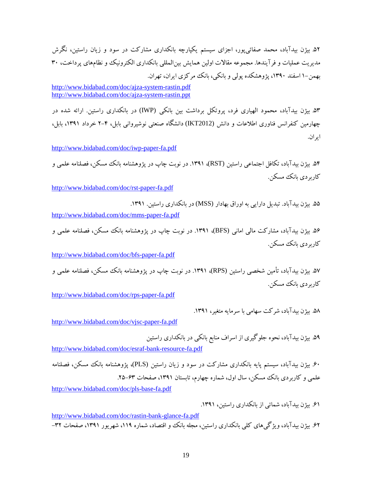.52 بیژن بیدآباد، محمد صفائیپور، اجزاي سیستم یکپارچه بانکداري مشارکت در سود و زیان راستین، نگرش مدیریت عملیات و فرآیندها. مجموعه مقالات اولین همایش بینالمللی بانکداري الکترونیک و نظامهاي پرداخت، 30 بهمن1- اسفند ،1390 پژوهشکده پولی و بانکی، بانک مرکزي ایران، تهران.

<http://www.bidabad.com/doc/ajza-system-rastin.pdf> <http://www.bidabad.com/doc/ajza-system-rastin.ppt>

.53 بیژن بیدآباد، محمود الهیاري فرد، پروتکل برداشت بین بانکی (IWP (در بانکداري راستین. ارائه شده در چهارمین کنفرانس فناوري اطلاعات و دانش (2012IKT (دانشگاه صنعتی نوشیروانی بابل، 2-4 خرداد ،1391 بابل، ایران.

<http://www.bidabad.com/doc/iwp-paper-fa.pdf>

.54 بیژن بیدآباد، تکافل اجتماعی راستین (RST(، .1391 در نوبت چاپ در پژوهشنامه بانک مسکن، فصلنامه علمی و کاربر دي بانک مسکن.

<http://www.bidabad.com/doc/rst-paper-fa.pdf>

.55 بیژن بیدآباد. تبدیل دارایی به اوراق بهادار (MSS (در بانکداري راستین. .1391

<http://www.bidabad.com/doc/mms-paper-fa.pdf>

.56 بیژن بیدآباد، مشارکت مالی امانی (BFS(، .1391 در نوبت چاپ در پژوهشنامه بانک مسکن، فصلنامه علمی و کاربردي بانک مسکن.

<http://www.bidabad.com/doc/bfs-paper-fa.pdf>

۵۷. بیژن بیدآباد، تأمین شخصی راستین (RPS)، ۱۳۹۱. در نوبت چاپ در پژوهشنامه بانک مسکن، فصلنامه علمی و کاربر دي بانک مسکن.

<http://www.bidabad.com/doc/rps-paper-fa.pdf>

.58 بیژن بیدآباد، شرکت سهامی با سرمایه متغیر، .1391

<http://www.bidabad.com/doc/vjsc-paper-fa.pdf>

.59 بیژن بیدآباد، نحوه جلوگیري از اسراف منابع بانکی در بانکداري راستین <http://www.bidabad.com/doc/esraf-bank-resource-fa.pdf>

.60 بیژن بیدآباد، سیستم پایه بانکداري مشارکت در سود و زیان راستین (PLS(، پژوهشنامه بانک مسکن، فصلنامه علمی و کاربردی بانک مسکن، سال اول، شماره چهارم، تابستان ۱۳۹۱، صفحات ۶۳-۲۵.

<http://www.bidabad.com/doc/pls-base-fa.pdf>

.61 بیژن بیدآباد، شمائی از بانکداري راستین، .1391

[http://www.bidabad.com/doc/rastin-bank-glance-fa.pdf](http://www.bidabad.com/doc/rastin-bank-glance-fa.pdf%0d) ۶۲. بیژن بیدآباد، ویژگیهای کلی بانکداری راستین، مجله بانک و اقتصاد، شماره ۱۱۹، شهریور ۱۳۹۱، صفحات ۳۲–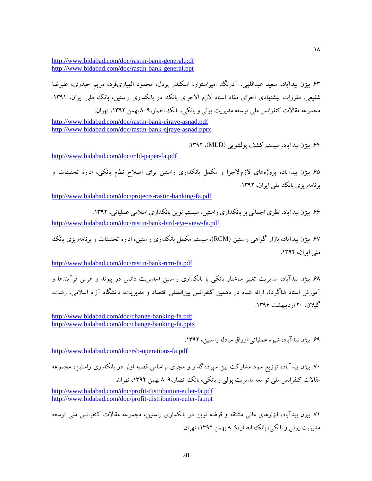<http://www.bidabad.com/doc/rastin-bank-general.pdf> <http://www.bidabad.com/doc/rastin-bank-general.ppt>

.63 بیژن بیدآباد، سعید عبداللهی، آذرنگ امیراستوار، اسکندر پردل، محمود الهیاريفرد، مریم حیدري، علیرضا شفیعی. مقررات پیشنهادی اجرای مفاد اسناد لازم الاجرای بانک در بانکداری راستین، بانک ملمی ایران، ۱۳۹۱. مجموعه مقالات کنفرانس ملی توسعه مدیریت پولی و بانکی، بانک انصار8-9، بهمن ،1392 تهران.

<http://www.bidabad.com/doc/rastin-bank-ejraye-asnad.pdf> <http://www.bidabad.com/doc/rastin-bank-ejraye-asnad.pptx>

.64 بیژن بیدآباد، سیستم کشف پولشویی (MLD(، .1392

<http://www.bidabad.com/doc/mld-paper-fa.pdf>

.65 بیژن بیدآباد، پروژههاي لازمالاجرا و مکمل بانکداري راستین براي اصلاح نظام بانکی، اداره تحقیقات و برنامهریزي بانک ملی ایران، .1392

<http://www.bidabad.com/doc/projects-rastin-banking-fa.pdf>

.66 بیژن بیدآباد، نظري اجمالی بر بانکداري راستین، سیستم نوین بانکداري اسلامی عملیاتی، .1392 <http://www.bidabad.com/doc/rastin-bank-bird-eye-view-fa.pdf>

.67 بیژن بیدآباد، بازار گواهی راستین (RCM(، سیستم مکمل بانکداري راستین، اداره تحقیقات و برنامهریزي بانک ملی ایران، .1392

<http://www.bidabad.com/doc/rastin-bank-rcm-fa.pdf>

.68 بیژن بیدآباد، مدیریت تغییر ساختار بانکی با بانکداري راستین (مدیریت دانش در پیوند و هرس فرآیندها و آموزش استاد شاگرد)، ارائه شده در دهمین کنفرانس بینالمللی اقتصاد و مدیریت، دانشگاه آزاد اسلامی، رشت، گیلان، 20 اردیبهشت .1396

<http://www.bidabad.com/doc/change-banking-fa.pdf> <http://www.bidabad.com/doc/change-banking-fa.pptx>

.69 بیژن بیدآباد، شیوه عملیاتی اوراق مبادله راستین، .1392

<http://www.bidabad.com/doc/rsb-operations-fa.pdf>

.70 بیژن بیدآباد، توزیع سود مشارکت بین سپردهگذار و مجري براساس قضیه اولر در بانکداري راستین، مجموعه مقالات کنفرانس ملی توسعه مدیریت پولی و بانکی، بانک انصار8-9، بهمن ،1392 تهران. <http://www.bidabad.com/doc/profit-distribution-euler-fa.pdf>

<http://www.bidabad.com/doc/profit-distribution-euler-fa.ppt>

.71 بیژن بیدآباد، ابزارهاي مالی مشتقه و قرضه نوین در بانکداري راستین، مجموعه مقالات کنفرانس ملی توسعه مدیریت پولی و بانکی، بانک انصار8-9، بهمن ،1392 تهران.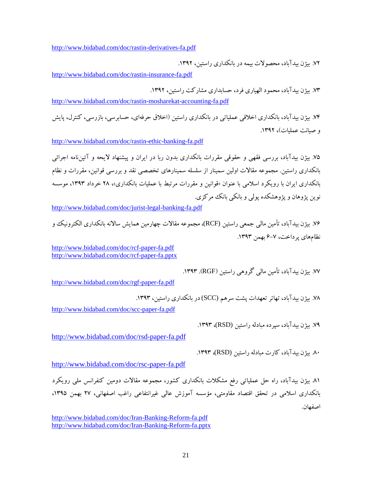<http://www.bidabad.com/doc/rastin-derivatives-fa.pdf>

.72 بیژن بیدآباد، محصولات بیمه در بانکداري راستین، .1392

<http://www.bidabad.com/doc/rastin-insurance-fa.pdf>

.73 بیژن بیدآباد، محمود الهیاري فرد، حسابداري مشارکت راستین، .1392

<http://www.bidabad.com/doc/rastin-mosharekat-accounting-fa.pdf>

.74 بیژن بیدآباد، بانکداري اخلاقی عملیاتی در بانکداري راستین (اخلاق حرفهاي، حسابرسی، بازرسی، کنترل، پایش و صیانت عملیات)، .1392

<http://www.bidabad.com/doc/rastin-ethic-banking-fa.pdf>

.75 بیژن بیدآباد، بررسی فقهی و حقوقی مقررات بانکداري بدون ربا در ایران و پیشنهاد لایحه و آئیننامه اجرائی بانکداري راستین. مجموعه مقالات اولین سمینار از سلسله سمینارهاي تخصصی نقد و بررسی قوانین، مقررات و نظام بانکداري ایران با رویکرد اسلامی با عنوان «قوانین و مقررات مرتبط با عملیات بانکداري»، 28 خرداد ،1393 موسسه نوین پژوهان و پژوهشکده پولی و بانکی بانک مرکزي.

<http://www.bidabad.com/doc/jurist-legal-banking-fa.pdf>

.76 بیژن بیدآباد، تأمین مالی جمعی راستین (RCF(، مجموعه مقالات چهارمین همایش سالانه بانکداري الکترونیک و نظامهاي پرداخت، 6-7 بهمن .1393

<http://www.bidabad.com/doc/rcf-paper-fa.pdf> <http://www.bidabad.com/doc/rcf-paper-fa.pptx>

.77 بیژن بیدآباد، تأمین مالی گروهی راستین (RGF(. .1393

[http://www.bidabad.com/doc/rgf-paper-fa.pdf](http://www.bidabad.com/doc/rgf-paper-fa.pdf%20%0d) 

.78 بیژن بیدآباد، تهاتر تعهدات پشت سرهم (SCC (در بانکداري راستین، .1393

<http://www.bidabad.com/doc/scc-paper-fa.pdf>

.79 بیژن بیدآباد، سپرده مبادله راستین (RSD(، .1393

<http://www.bidabad.com/doc/rsd-paper-fa.pdf>

.80 بیژن بیدآباد، کارت مبادله راستین (RSD(، .1393

<http://www.bidabad.com/doc/rsc-paper-fa.pdf>

.81 بیژن بیدآباد، راه حل عملیاتی رفع مشکلات بانکداري کشور، مجموعه مقالات دومین کنفرانس ملی رویکرد بانکداري اسلامی در تحقق اقتصاد مقاومتی، مؤسسه آموزش عالی غیرانتفاعی راغب اصفهانی، 27 بهمن ،1395 اصفهان.

<http://www.bidabad.com/doc/Iran-Banking-Reform-fa.pdf> <http://www.bidabad.com/doc/Iran-Banking-Reform-fa.pptx>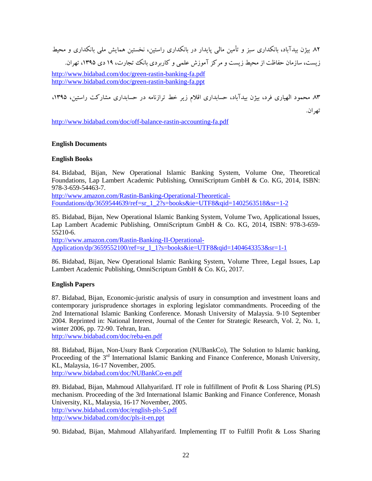.82 بیژن بیدآباد، بانکداري سبز و تأمین مالی پایدار در بانکداري راستین، نخستین همایش ملی بانکداري و محیط زیست، سازمان حفاظت از محیط زیست و مرکز آموزش علمی و کاربردی بانک تجارت، ۱۹ دی ۱۳۹۵، تهران.

<http://www.bidabad.com/doc/green-rastin-banking-fa.pdf> <http://www.bidabad.com/doc/green-rastin-banking-fa.ppt>

۸۳ محمود الهیاري فرد، بیژن بیدآباد، حسابداري اقلام زیر خط ترازنامه در حسابداري مشارکت راستین، ۱۳۹۵، تهران.

<http://www.bidabad.com/doc/off-balance-rastin-accounting-fa.pdf>

# **English Documents**

# **English Books**

84. Bidabad, Bijan, New Operational Islamic Banking System, Volume One, Theoretical Foundations, Lap Lambert Academic Publishing, OmniScriptum GmbH & Co. KG, 2014, ISBN: 978-3-659-54463-7.

[http://www.amazon.com/Rastin-Banking-Operational-Theoretical-](http://www.amazon.com/Rastin-Banking-Operational-Theoretical-Foundations/dp/3659544639/ref=sr_1_2?s=books&ie=UTF8&qid=1402563518&sr=1-2)[Foundations/dp/3659544639/ref=sr\\_1\\_2?s=books&ie=UTF8&qid=1402563518&sr=1-2](http://www.amazon.com/Rastin-Banking-Operational-Theoretical-Foundations/dp/3659544639/ref=sr_1_2?s=books&ie=UTF8&qid=1402563518&sr=1-2)

85. Bidabad, Bijan, New Operational Islamic Banking System, Volume Two, Applicational Issues, Lap Lambert Academic Publishing, OmniScriptum GmbH & Co. KG, 2014, ISBN: 978-3-659- 55210-6.

[http://www.amazon.com/Rastin-Banking-II-Operational-](http://www.amazon.com/Rastin-Banking-II-Operational-Application/dp/3659552100/ref=sr_1_1?s=books&ie=UTF8&qid=1404643353&sr=1-1)[Application/dp/3659552100/ref=sr\\_1\\_1?s=books&ie=UTF8&qid=1404643353&sr=1-1](http://www.amazon.com/Rastin-Banking-II-Operational-Application/dp/3659552100/ref=sr_1_1?s=books&ie=UTF8&qid=1404643353&sr=1-1)

86. Bidabad, Bijan, New Operational Islamic Banking System, Volume Three, Legal Issues, Lap Lambert Academic Publishing, OmniScriptum GmbH & Co. KG, 2017.

# **English Papers**

87. Bidabad, Bijan, Economic-juristic analysis of usury in consumption and investment loans and contemporary jurisprudence shortages in exploring legislator commandments. Proceeding of the 2nd International Islamic Banking Conference. Monash University of Malaysia. 9-10 September 2004. Reprinted in: National Interest, Journal of the Center for Strategic Research, Vol. 2, No. 1, winter 2006, pp. 72-90. Tehran, Iran.

<http://www.bidabad.com/doc/reba-en.pdf>

88. Bidabad, Bijan, Non-Usury Bank Corporation (NUBankCo), The Solution to Islamic banking, Proceeding of the  $3<sup>rd</sup>$  International Islamic Banking and Finance Conference, Monash University, KL, Malaysia, 16-17 November, 2005. <http://www.bidabad.com/doc/NUBankCo-en.pdf>

89. Bidabad, Bijan, Mahmoud Allahyarifard. IT role in fulfillment of Profit & Loss Sharing (PLS) mechanism. Proceeding of the 3rd International Islamic Banking and Finance Conference, Monash University, KL, Malaysia, 16-17 November, 2005. <http://www.bidabad.com/doc/english-pls-5.pdf> <http://www.bidabad.com/doc/pls-it-en.ppt>

90. Bidabad, Bijan, Mahmoud Allahyarifard. Implementing IT to Fulfill Profit & Loss Sharing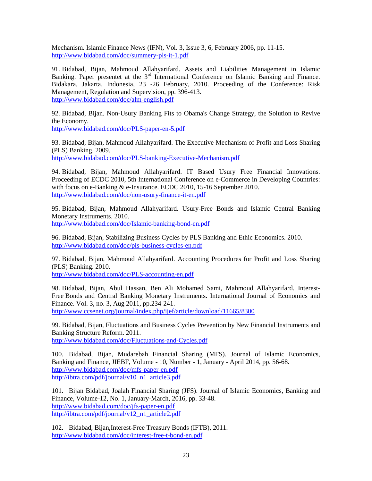Mechanism. Islamic Finance News (IFN), Vol. 3, Issue 3, 6, February 2006, pp. 11-15. <http://www.bidabad.com/doc/summery-pls-it-1.pdf>

91. Bidabad, Bijan, Mahmoud Allahyarifard. Assets and Liabilities Management in Islamic Banking. Paper presentet at the 3<sup>rd</sup> International Conference on Islamic Banking and Finance. Bidakara, Jakarta, Indonesia, 23 -26 February, 2010. Proceeding of the Conference: Risk Management, Regulation and Supervision, pp. 396-413. <http://www.bidabad.com/doc/alm-english.pdf>

92. Bidabad, Bijan. Non-Usury Banking Fits to Obama's Change Strategy, the Solution to Revive the Economy.

<http://www.bidabad.com/doc/PLS-paper-en-5.pdf>

93. Bidabad, Bijan, Mahmoud Allahyarifard. The Executive Mechanism of Profit and Loss Sharing (PLS) Banking. 2009.

<http://www.bidabad.com/doc/PLS-banking-Executive-Mechanism.pdf>

94. Bidabad, Bijan, Mahmoud Allahyarifard. IT Based Usury Free Financial Innovations. Proceeding of ECDC 2010, 5th International Conference on e-Commerce in Developing Countries: with focus on e-Banking & e-Insurance. ECDC 2010, 15-16 September 2010. <http://www.bidabad.com/doc/non-usury-finance-it-en.pdf>

95. Bidabad, Bijan, Mahmoud Allahyarifard. Usury-Free Bonds and Islamic Central Banking Monetary Instruments. 2010. <http://www.bidabad.com/doc/Islamic-banking-bond-en.pdf>

96. Bidabad, Bijan, Stabilizing Business Cycles by PLS Banking and Ethic Economics. 2010. <http://www.bidabad.com/doc/pls-business-cycles-en.pdf>

97. Bidabad, Bijan, Mahmoud Allahyarifard. Accounting Procedures for Profit and Loss Sharing (PLS) Banking. 2010.

<http://www.bidabad.com/doc/PLS-accounting-en.pdf>

98. Bidabad, Bijan, Abul Hassan, Ben Ali Mohamed Sami, Mahmoud Allahyarifard. Interest-Free Bonds and Central Banking Monetary Instruments. International Journal of Economics and Finance. Vol. 3, no. 3, Aug 2011, pp.234-241. <http://www.ccsenet.org/journal/index.php/ijef/article/download/11665/8300>

99. Bidabad, Bijan, Fluctuations and Business Cycles Prevention by New Financial Instruments and Banking Structure Reform. 2011. <http://www.bidabad.com/doc/Fluctuations-and-Cycles.pdf>

100. Bidabad, Bijan, Mudarebah Financial Sharing (MFS). Journal of Islamic Economics, Banking and Finance, JIEBF, Volume - 10, Number - 1, January - April 2014, pp. 56-68. <http://www.bidabad.com/doc/mfs-paper-en.pdf> [http://ibtra.com/pdf/journal/v10\\_n1\\_article3.pdf](http://ibtra.com/pdf/journal/v10_n1_article3.pdf)

101. Bijan Bidabad, Joalah Financial Sharing (JFS). Journal of Islamic Economics, Banking and Finance, Volume-12, No. 1, January-March, 2016, pp. 33-48. <http://www.bidabad.com/doc/jfs-paper-en.pdf> [http://ibtra.com/pdf/journal/v12\\_n1\\_article2.pdf](http://ibtra.com/pdf/journal/v12_n1_article2.pdf)

102. Bidabad, Bijan,Interest-Free Treasury Bonds (IFTB), 2011. <http://www.bidabad.com/doc/interest-free-t-bond-en.pdf>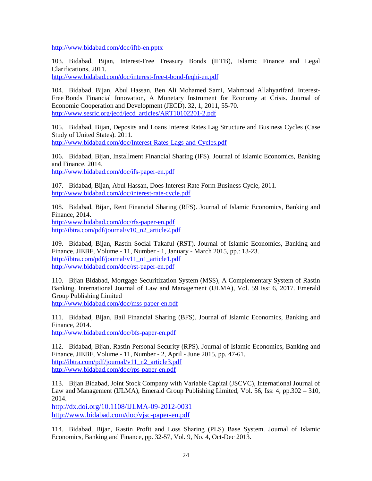<http://www.bidabad.com/doc/iftb-en.pptx>

103. Bidabad, Bijan, Interest-Free Treasury Bonds (IFTB), Islamic Finance and Legal Clarifications, 2011.

<http://www.bidabad.com/doc/interest-free-t-bond-feqhi-en.pdf>

104. Bidabad, Bijan, Abul Hassan, Ben Ali Mohamed Sami, Mahmoud Allahyarifard. Interest-Free Bonds Financial Innovation, A Monetary Instrument for Economy at Crisis. Journal of Economic Cooperation and Development (JECD). 32, 1, 2011, 55-70. [http://www.sesric.org/jecd/jecd\\_articles/ART10102201-2.pdf](http://www.sesric.org/jecd/jecd_articles/ART10102201-2.pdf)

105. Bidabad, Bijan, Deposits and Loans Interest Rates Lag Structure and Business Cycles (Case Study of United States). 2011. <http://www.bidabad.com/doc/Interest-Rates-Lags-and-Cycles.pdf>

106. Bidabad, Bijan, Installment Financial Sharing (IFS). Journal of Islamic Economics, Banking and Finance, 2014. <http://www.bidabad.com/doc/ifs-paper-en.pdf>

107. Bidabad, Bijan, Abul Hassan, Does Interest Rate Form Business Cycle, 2011. <http://www.bidabad.com/doc/interest-rate-cycle.pdf>

108. Bidabad, Bijan, Rent Financial Sharing (RFS). Journal of Islamic Economics, Banking and Finance, 2014.

<http://www.bidabad.com/doc/rfs-paper-en.pdf> [http://ibtra.com/pdf/journal/v10\\_n2\\_article2.pdf](http://ibtra.com/pdf/journal/v10_n2_article2.pdf)

109. Bidabad, Bijan, Rastin Social Takaful (RST). Journal of Islamic Economics, Banking and Finance, JIEBF, Volume - 11, Number - 1, January - March 2015, pp.: 13-23. [http://ibtra.com/pdf/journal/v11\\_n1\\_article1.pdf](http://ibtra.com/pdf/journal/v11_n1_article1.pdf) <http://www.bidabad.com/doc/rst-paper-en.pdf>

110. Bijan Bidabad, Mortgage Securitization System (MSS), A Complementary System of Rastin Banking. International Journal of Law and Management (IJLMA), Vol. 59 Iss: 6, 2017. Emerald Group Publishing Limited <http://www.bidabad.com/doc/mss-paper-en.pdf>

111. Bidabad, Bijan, Bail Financial Sharing (BFS). Journal of Islamic Economics, Banking and Finance, 2014.

[http://www.bidabad.com/doc/bfs-paper-en.pdf](http://www.bidabad.com/doc/bfs-paper-en.pdf%20%0d) 

112. Bidabad, Bijan, Rastin Personal Security (RPS). Journal of Islamic Economics, Banking and Finance, JIEBF, Volume - 11, Number - 2, April - June 2015, pp. 47-61. [http://ibtra.com/pdf/journal/v11\\_n2\\_article3.pdf](http://ibtra.com/pdf/journal/v11_n2_article3.pdf) <http://www.bidabad.com/doc/rps-paper-en.pdf>

113. Bijan Bidabad, Joint Stock Company with Variable Capital (JSCVC), International Journal of Law and Management (IJLMA), Emerald Group Publishing Limited, Vol. 56, Iss: 4, pp.302 – 310, 2014.

<http://dx.doi.org/10.1108/IJLMA-09-2012-0031> <http://www.bidabad.com/doc/vjsc-paper-en.pdf>

114. Bidabad, Bijan, Rastin Profit and Loss Sharing (PLS) Base System. Journal of Islamic Economics, Banking and Finance, pp. 32-57, Vol. 9, No. 4, Oct-Dec 2013.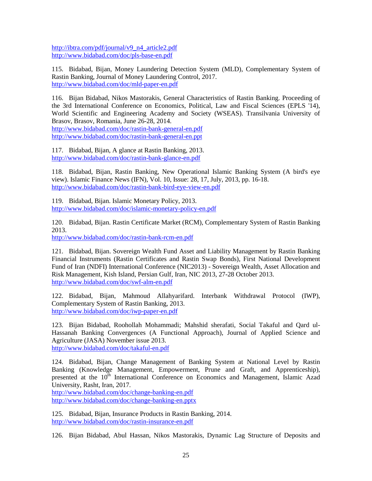[http://ibtra.com/pdf/journal/v9\\_n4\\_article2.pdf](http://ibtra.com/pdf/journal/v9_n4_article2.pdf) [http://www.bidabad.com/doc/pls-base-en.pdf](http://www.bidabad.com/doc/pls-base-en.pdf%20%0d) 

115. Bidabad, Bijan, Money Laundering Detection System (MLD), Complementary System of Rastin Banking, Journal of Money Laundering Control, 2017. <http://www.bidabad.com/doc/mld-paper-en.pdf>

116. Bijan Bidabad, Nikos Mastorakis, General Characteristics of Rastin Banking. Proceeding of the 3rd International Conference on Economics, Political, Law and Fiscal Sciences (EPLS '14), World Scientific and Engineering Academy and Society (WSEAS). Transilvania University of Brasov, Brasov, Romania, June 26-28, 2014.

<http://www.bidabad.com/doc/rastin-bank-general-en.pdf> <http://www.bidabad.com/doc/rastin-bank-general-en.ppt>

117. Bidabad, Bijan, A glance at Rastin Banking, 2013. <http://www.bidabad.com/doc/rastin-bank-glance-en.pdf>

118. Bidabad, Bijan, Rastin Banking, New Operational Islamic Banking System (A bird's eye view). Islamic Finance News (IFN), Vol. 10, Issue: 28, 17, July, 2013, pp. 16-18. <http://www.bidabad.com/doc/rastin-bank-bird-eye-view-en.pdf>

119. Bidabad, Bijan. Islamic Monetary Policy, 2013. <http://www.bidabad.com/doc/islamic-monetary-policy-en.pdf>

120. Bidabad, Bijan. Rastin Certificate Market (RCM), Complementary System of Rastin Banking 2013.

<http://www.bidabad.com/doc/rastin-bank-rcm-en.pdf>

121. Bidabad, Bijan. Sovereign Wealth Fund Asset and Liability Management by Rastin Banking Financial Instruments (Rastin Certificates and Rastin Swap Bonds), First National Development Fund of Iran (NDFI) International Conference (NIC2013) - Sovereign Wealth, Asset Allocation and Risk Management, Kish Island, Persian Gulf, Iran, NIC 2013, 27-28 October 2013. <http://www.bidabad.com/doc/swf-alm-en.pdf>

122. Bidabad, Bijan, Mahmoud Allahyarifard. Interbank Withdrawal Protocol (IWP), Complementary System of Rastin Banking, 2013. <http://www.bidabad.com/doc/iwp-paper-en.pdf>

123. Bijan Bidabad, Roohollah Mohammadi; Mahshid sherafati, Social Takaful and Qard ul-Hassanah Banking Convergences (A Functional Approach), Journal of Applied Science and Agriculture (JASA) November issue 2013. <http://www.bidabad.com/doc/takaful-en.pdf>

124. Bidabad, Bijan, Change Management of Banking System at National Level by Rastin Banking (Knowledge Management, Empowerment, Prune and Graft, and Apprenticeship), presented at the 10<sup>th</sup> International Conference on Economics and Management, Islamic Azad University, Rasht, Iran, 2017.

<http://www.bidabad.com/doc/change-banking-en.pdf> <http://www.bidabad.com/doc/change-banking-en.pptx>

125. Bidabad, Bijan, Insurance Products in Rastin Banking, 2014. <http://www.bidabad.com/doc/rastin-insurance-en.pdf>

126. Bijan Bidabad, Abul Hassan, Nikos Mastorakis, Dynamic Lag Structure of Deposits and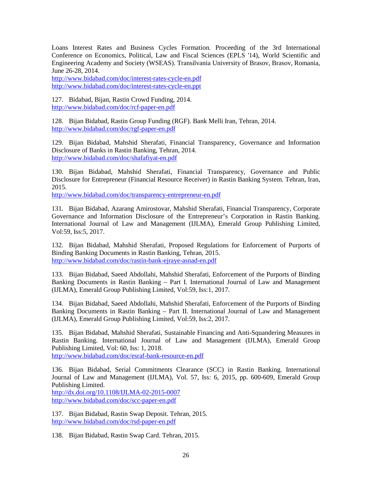Loans Interest Rates and Business Cycles Formation. Proceeding of the 3rd International Conference on Economics, Political, Law and Fiscal Sciences (EPLS '14), World Scientific and Engineering Academy and Society (WSEAS). Transilvania University of Brasov, Brasov, Romania, June 26-28, 2014.

<http://www.bidabad.com/doc/interest-rates-cycle-en.pdf> <http://www.bidabad.com/doc/interest-rates-cycle-en.ppt>

127. Bidabad, Bijan, Rastin Crowd Funding, 2014. [http://www.bidabad.com/doc/rcf-paper-en.pdf](http://www.bidabad.com/doc/rcf-paper-en.pdf%0d)

128. Bijan Bidabad, Rastin Group Funding (RGF). Bank Melli Iran, Tehran, 2014. <http://www.bidabad.com/doc/rgf-paper-en.pdf>

129. Bijan Bidabad, Mahshid Sherafati, Financial Transparency, Governance and Information Disclosure of Banks in Rastin Banking, Tehran, 2014. [http://www.bidabad.com/doc/shafafiyat-en.pdf](http://www.bidabad.com/doc/shafafiyat-en.pdf%20%0d) 

130. Bijan Bidabad, Mahshid Sherafati, Financial Transparency, Governance and Public Disclosure for Entrepreneur (Financial Resource Receiver) in Rastin Banking System. Tehran, Iran, 2015.

<http://www.bidabad.com/doc/transparency-entrepreneur-en.pdf>

131. Bijan Bidabad, Azarang Amirostovar, Mahshid Sherafati, Financial Transparency, Corporate Governance and Information Disclosure of the Entrepreneur's Corporation in Rastin Banking. International Journal of Law and Management (IJLMA), Emerald Group Publishing Limited, Vol:59, Iss:5, 2017.

132. Bijan Bidabad, Mahshid Sherafati, Proposed Regulations for Enforcement of Purports of Binding Banking Documents in Rastin Banking, Tehran, 2015. [http://www.bidabad.com/doc/rastin-bank-ejraye-asnad-en.pdf](http://www.bidabad.com/doc/rastin-bank-ejraye-asnad-en.pdf%20%0d) 

133. Bijan Bidabad, Saeed Abdollahi, Mahshid Sherafati, Enforcement of the Purports of Binding Banking Documents in Rastin Banking – Part I. International Journal of Law and Management (IJLMA), Emerald Group Publishing Limited, Vol:59, Iss:1, 2017.

134. Bijan Bidabad, Saeed Abdollahi, Mahshid Sherafati, Enforcement of the Purports of Binding Banking Documents in Rastin Banking – Part II. International Journal of Law and Management (IJLMA), Emerald Group Publishing Limited, Vol:59, Iss:2, 2017.

135. Bijan Bidabad, Mahshid Sherafati, Sustainable Financing and Anti-Squandering Measures in Rastin Banking. International Journal of Law and Management (IJLMA), Emerald Group Publishing Limited, Vol: 60, Iss: 1, 2018.

<http://www.bidabad.com/doc/esraf-bank-resource-en.pdf>

136. Bijan Bidabad, Serial Commitments Clearance (SCC) in Rastin Banking. International Journal of Law and Management (IJLMA), Vol. 57, Iss: 6, 2015, pp. 600-609, Emerald Group Publishing Limited.

<http://dx.doi.org/10.1108/IJLMA-02-2015-0007> <http://www.bidabad.com/doc/scc-paper-en.pdf>

137. Bijan Bidabad, Rastin Swap Deposit. Tehran, 2015. <http://www.bidabad.com/doc/rsd-paper-en.pdf>

138. Bijan Bidabad, Rastin Swap Card. Tehran, 2015.